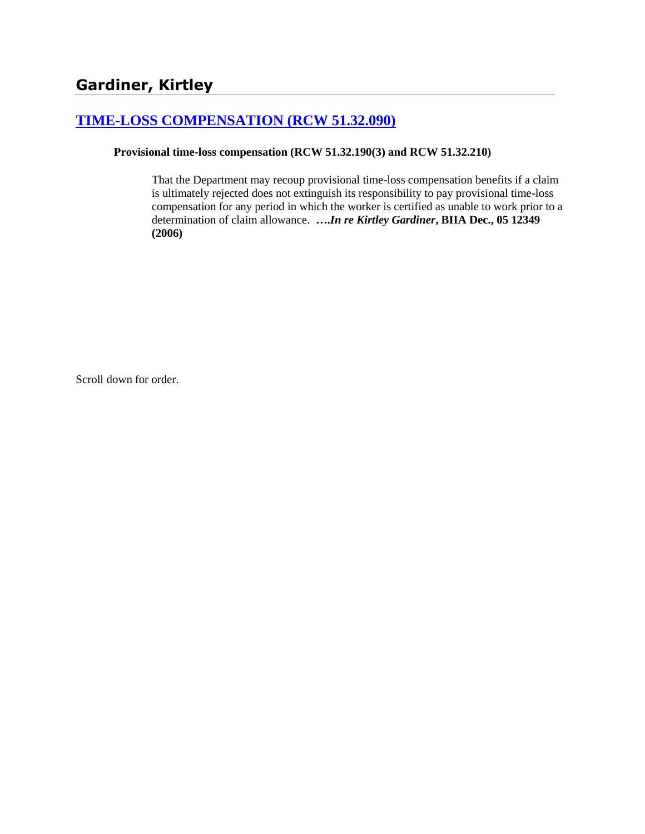# **[TIME-LOSS COMPENSATION \(RCW 51.32.090\)](http://www.biia.wa.gov/SDSubjectIndex.html#TIME_LOSS_COMPENSATION)**

### **Provisional time-loss compensation (RCW 51.32.190(3) and RCW 51.32.210)**

That the Department may recoup provisional time-loss compensation benefits if a claim is ultimately rejected does not extinguish its responsibility to pay provisional time-loss compensation for any period in which the worker is certified as unable to work prior to a determination of claim allowance. **….***In re Kirtley Gardiner***, BIIA Dec., 05 12349 (2006)**

Scroll down for order.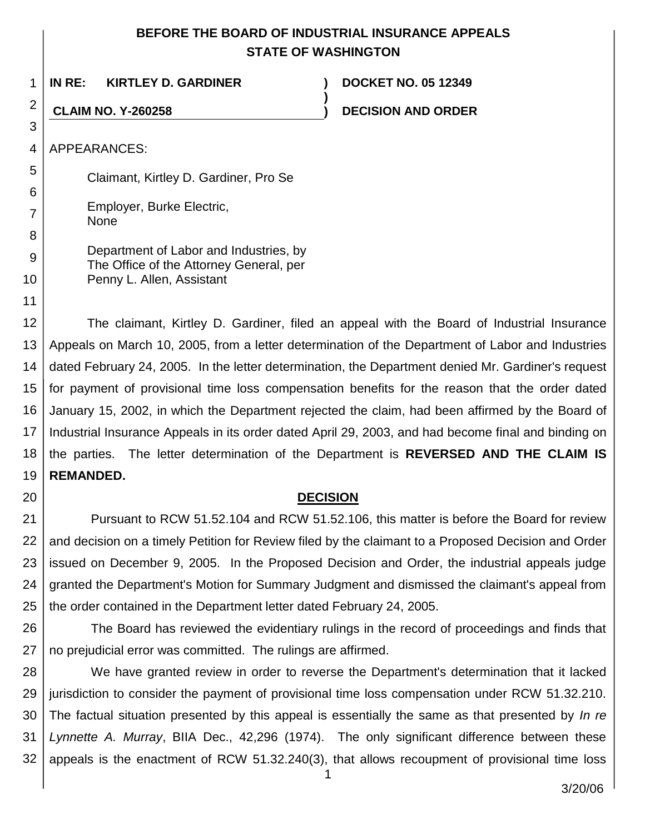# **BEFORE THE BOARD OF INDUSTRIAL INSURANCE APPEALS STATE OF WASHINGTON**

| 1              | IN RE:<br><b>KIRTLEY D. GARDINER</b>  | <b>DOCKET NO. 05 12349</b> |  |  |  |
|----------------|---------------------------------------|----------------------------|--|--|--|
| $\overline{2}$ | <b>CLAIM NO. Y-260258</b>             | <b>DECISION AND ORDER</b>  |  |  |  |
| 3              |                                       |                            |  |  |  |
| 4              | APPEARANCES:                          |                            |  |  |  |
| 5              | Claimant, Kirtley D. Gardiner, Pro Se |                            |  |  |  |
| 6              |                                       |                            |  |  |  |
| 7              | Employer, Burke Electric,<br>None     |                            |  |  |  |

Department of Labor and Industries, by The Office of the Attorney General, per

Penny L. Allen, Assistant

11 12 13 14 15 16 17 18 The claimant, Kirtley D. Gardiner, filed an appeal with the Board of Industrial Insurance Appeals on March 10, 2005, from a letter determination of the Department of Labor and Industries dated February 24, 2005. In the letter determination, the Department denied Mr. Gardiner's request for payment of provisional time loss compensation benefits for the reason that the order dated January 15, 2002, in which the Department rejected the claim, had been affirmed by the Board of Industrial Insurance Appeals in its order dated April 29, 2003, and had become final and binding on the parties. The letter determination of the Department is **REVERSED AND THE CLAIM IS** 

#### 19 **REMANDED.**

8

9

10

20

## **DECISION**

21 22 23 24 25 Pursuant to RCW 51.52.104 and RCW 51.52.106, this matter is before the Board for review and decision on a timely Petition for Review filed by the claimant to a Proposed Decision and Order issued on December 9, 2005. In the Proposed Decision and Order, the industrial appeals judge granted the Department's Motion for Summary Judgment and dismissed the claimant's appeal from the order contained in the Department letter dated February 24, 2005.

26 27 The Board has reviewed the evidentiary rulings in the record of proceedings and finds that no prejudicial error was committed. The rulings are affirmed.

28 29 30 31 32 We have granted review in order to reverse the Department's determination that it lacked jurisdiction to consider the payment of provisional time loss compensation under RCW 51.32.210. The factual situation presented by this appeal is essentially the same as that presented by *In re Lynnette A. Murray*, BIIA Dec., 42,296 (1974). The only significant difference between these appeals is the enactment of RCW 51.32.240(3), that allows recoupment of provisional time loss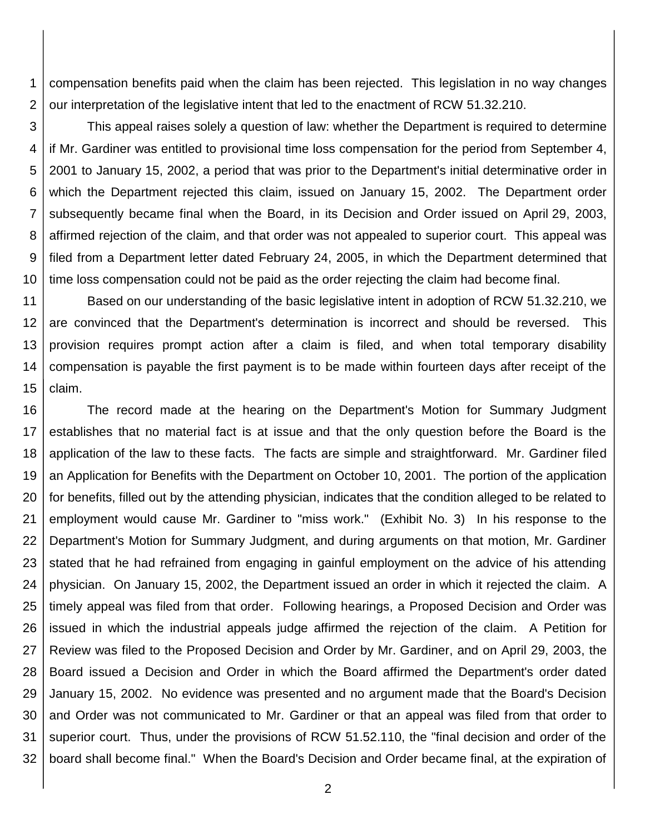1 2 compensation benefits paid when the claim has been rejected. This legislation in no way changes our interpretation of the legislative intent that led to the enactment of RCW 51.32.210.

3 4 5 6 7 8 9 10 This appeal raises solely a question of law: whether the Department is required to determine if Mr. Gardiner was entitled to provisional time loss compensation for the period from September 4, 2001 to January 15, 2002, a period that was prior to the Department's initial determinative order in which the Department rejected this claim, issued on January 15, 2002. The Department order subsequently became final when the Board, in its Decision and Order issued on April 29, 2003, affirmed rejection of the claim, and that order was not appealed to superior court. This appeal was filed from a Department letter dated February 24, 2005, in which the Department determined that time loss compensation could not be paid as the order rejecting the claim had become final.

11 12 13 14 15 Based on our understanding of the basic legislative intent in adoption of RCW 51.32.210, we are convinced that the Department's determination is incorrect and should be reversed. This provision requires prompt action after a claim is filed, and when total temporary disability compensation is payable the first payment is to be made within fourteen days after receipt of the claim.

16 17 18 19 20 21 22 23 24 25 26 27 28 29 30 31 32 The record made at the hearing on the Department's Motion for Summary Judgment establishes that no material fact is at issue and that the only question before the Board is the application of the law to these facts. The facts are simple and straightforward. Mr. Gardiner filed an Application for Benefits with the Department on October 10, 2001. The portion of the application for benefits, filled out by the attending physician, indicates that the condition alleged to be related to employment would cause Mr. Gardiner to "miss work." (Exhibit No. 3) In his response to the Department's Motion for Summary Judgment, and during arguments on that motion, Mr. Gardiner stated that he had refrained from engaging in gainful employment on the advice of his attending physician. On January 15, 2002, the Department issued an order in which it rejected the claim. A timely appeal was filed from that order. Following hearings, a Proposed Decision and Order was issued in which the industrial appeals judge affirmed the rejection of the claim. A Petition for Review was filed to the Proposed Decision and Order by Mr. Gardiner, and on April 29, 2003, the Board issued a Decision and Order in which the Board affirmed the Department's order dated January 15, 2002. No evidence was presented and no argument made that the Board's Decision and Order was not communicated to Mr. Gardiner or that an appeal was filed from that order to superior court. Thus, under the provisions of RCW 51.52.110, the "final decision and order of the board shall become final." When the Board's Decision and Order became final, at the expiration of

2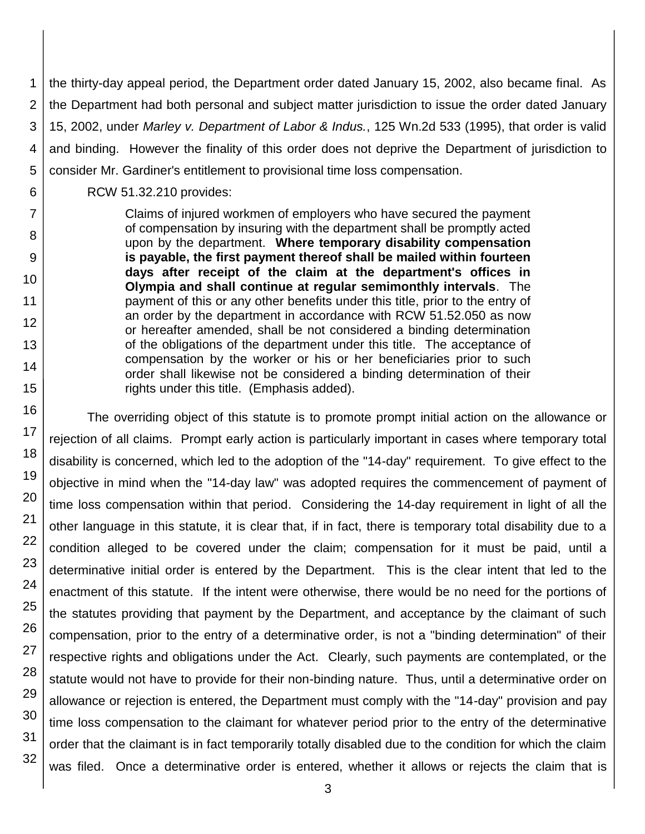1 2 3 4 5 the thirty-day appeal period, the Department order dated January 15, 2002, also became final. As the Department had both personal and subject matter jurisdiction to issue the order dated January 15, 2002, under *Marley v. Department of Labor & Indus.*, 125 Wn.2d 533 (1995), that order is valid and binding. However the finality of this order does not deprive the Department of jurisdiction to consider Mr. Gardiner's entitlement to provisional time loss compensation.

RCW 51.32.210 provides:

Claims of injured workmen of employers who have secured the payment of compensation by insuring with the department shall be promptly acted upon by the department. **Where temporary disability compensation is payable, the first payment thereof shall be mailed within fourteen days after receipt of the claim at the department's offices in Olympia and shall continue at regular semimonthly intervals**. The payment of this or any other benefits under this title, prior to the entry of an order by the department in accordance with RCW 51.52.050 as now or hereafter amended, shall be not considered a binding determination of the obligations of the department under this title. The acceptance of compensation by the worker or his or her beneficiaries prior to such order shall likewise not be considered a binding determination of their rights under this title. (Emphasis added).

The overriding object of this statute is to promote prompt initial action on the allowance or rejection of all claims. Prompt early action is particularly important in cases where temporary total disability is concerned, which led to the adoption of the "14-day" requirement. To give effect to the objective in mind when the "14-day law" was adopted requires the commencement of payment of time loss compensation within that period. Considering the 14-day requirement in light of all the other language in this statute, it is clear that, if in fact, there is temporary total disability due to a condition alleged to be covered under the claim; compensation for it must be paid, until a determinative initial order is entered by the Department. This is the clear intent that led to the enactment of this statute. If the intent were otherwise, there would be no need for the portions of the statutes providing that payment by the Department, and acceptance by the claimant of such compensation, prior to the entry of a determinative order, is not a "binding determination" of their respective rights and obligations under the Act. Clearly, such payments are contemplated, or the statute would not have to provide for their non-binding nature. Thus, until a determinative order on allowance or rejection is entered, the Department must comply with the "14-day" provision and pay time loss compensation to the claimant for whatever period prior to the entry of the determinative order that the claimant is in fact temporarily totally disabled due to the condition for which the claim was filed. Once a determinative order is entered, whether it allows or rejects the claim that is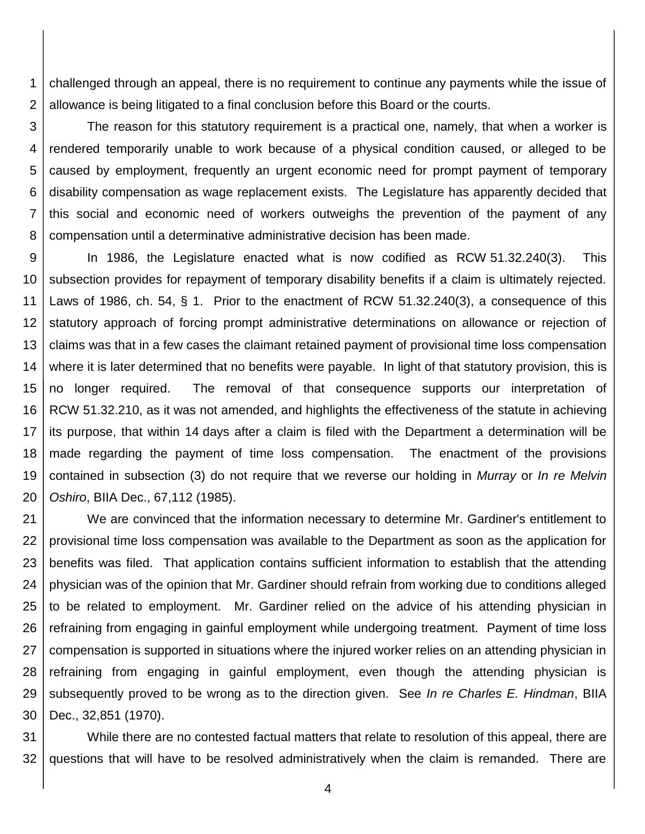1 2 challenged through an appeal, there is no requirement to continue any payments while the issue of allowance is being litigated to a final conclusion before this Board or the courts.

3 4 5 6 7 8 The reason for this statutory requirement is a practical one, namely, that when a worker is rendered temporarily unable to work because of a physical condition caused, or alleged to be caused by employment, frequently an urgent economic need for prompt payment of temporary disability compensation as wage replacement exists. The Legislature has apparently decided that this social and economic need of workers outweighs the prevention of the payment of any compensation until a determinative administrative decision has been made.

9 10 11 12 13 14 15 16 17 18 19 20 In 1986, the Legislature enacted what is now codified as RCW 51.32.240(3). This subsection provides for repayment of temporary disability benefits if a claim is ultimately rejected. Laws of 1986, ch. 54, § 1. Prior to the enactment of RCW 51.32.240(3), a consequence of this statutory approach of forcing prompt administrative determinations on allowance or rejection of claims was that in a few cases the claimant retained payment of provisional time loss compensation where it is later determined that no benefits were payable. In light of that statutory provision, this is no longer required. The removal of that consequence supports our interpretation of RCW 51.32.210, as it was not amended, and highlights the effectiveness of the statute in achieving its purpose, that within 14 days after a claim is filed with the Department a determination will be made regarding the payment of time loss compensation. The enactment of the provisions contained in subsection (3) do not require that we reverse our holding in *Murray* or *In re Melvin Oshiro*, BIIA Dec., 67,112 (1985).

21 22 23 24 25 26 27 28 29 30 We are convinced that the information necessary to determine Mr. Gardiner's entitlement to provisional time loss compensation was available to the Department as soon as the application for benefits was filed. That application contains sufficient information to establish that the attending physician was of the opinion that Mr. Gardiner should refrain from working due to conditions alleged to be related to employment. Mr. Gardiner relied on the advice of his attending physician in refraining from engaging in gainful employment while undergoing treatment. Payment of time loss compensation is supported in situations where the injured worker relies on an attending physician in refraining from engaging in gainful employment, even though the attending physician is subsequently proved to be wrong as to the direction given. See *In re Charles E. Hindman*, BIIA Dec., 32,851 (1970).

31 32 While there are no contested factual matters that relate to resolution of this appeal, there are questions that will have to be resolved administratively when the claim is remanded. There are

4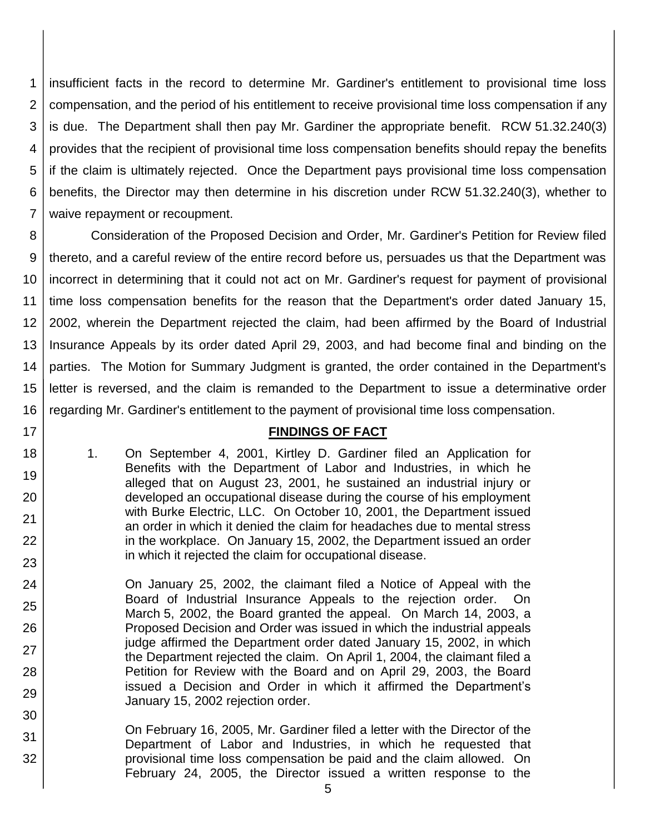1 2 3 4 5 6 7 insufficient facts in the record to determine Mr. Gardiner's entitlement to provisional time loss compensation, and the period of his entitlement to receive provisional time loss compensation if any is due. The Department shall then pay Mr. Gardiner the appropriate benefit. RCW 51.32.240(3) provides that the recipient of provisional time loss compensation benefits should repay the benefits if the claim is ultimately rejected. Once the Department pays provisional time loss compensation benefits, the Director may then determine in his discretion under RCW 51.32.240(3), whether to waive repayment or recoupment.

8 9 10 11 12 13 14 15 16 Consideration of the Proposed Decision and Order, Mr. Gardiner's Petition for Review filed thereto, and a careful review of the entire record before us, persuades us that the Department was incorrect in determining that it could not act on Mr. Gardiner's request for payment of provisional time loss compensation benefits for the reason that the Department's order dated January 15, 2002, wherein the Department rejected the claim, had been affirmed by the Board of Industrial Insurance Appeals by its order dated April 29, 2003, and had become final and binding on the parties. The Motion for Summary Judgment is granted, the order contained in the Department's letter is reversed, and the claim is remanded to the Department to issue a determinative order regarding Mr. Gardiner's entitlement to the payment of provisional time loss compensation.

### **FINDINGS OF FACT**

1. On September 4, 2001, Kirtley D. Gardiner filed an Application for Benefits with the Department of Labor and Industries, in which he alleged that on August 23, 2001, he sustained an industrial injury or developed an occupational disease during the course of his employment with Burke Electric, LLC. On October 10, 2001, the Department issued an order in which it denied the claim for headaches due to mental stress in the workplace. On January 15, 2002, the Department issued an order in which it rejected the claim for occupational disease.

17

18

19

20

21

22

23

24

25

26

27

28

29

30

- On January 25, 2002, the claimant filed a Notice of Appeal with the Board of Industrial Insurance Appeals to the rejection order. On March 5, 2002, the Board granted the appeal. On March 14, 2003, a Proposed Decision and Order was issued in which the industrial appeals judge affirmed the Department order dated January 15, 2002, in which the Department rejected the claim. On April 1, 2004, the claimant filed a Petition for Review with the Board and on April 29, 2003, the Board issued a Decision and Order in which it affirmed the Department's January 15, 2002 rejection order.
- 31 32 On February 16, 2005, Mr. Gardiner filed a letter with the Director of the Department of Labor and Industries, in which he requested that provisional time loss compensation be paid and the claim allowed. On February 24, 2005, the Director issued a written response to the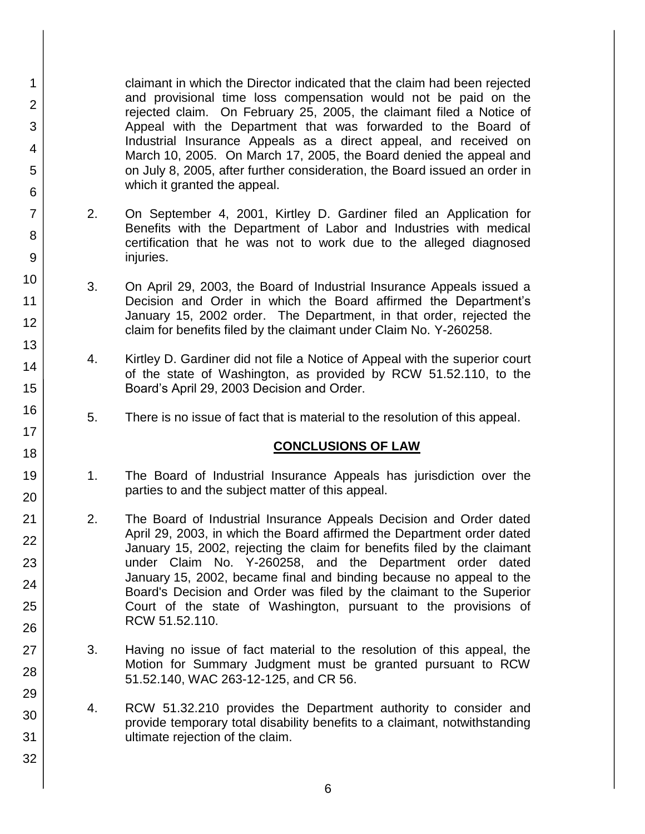claimant in which the Director indicated that the claim had been rejected and provisional time loss compensation would not be paid on the rejected claim. On February 25, 2005, the claimant filed a Notice of Appeal with the Department that was forwarded to the Board of Industrial Insurance Appeals as a direct appeal, and received on March 10, 2005. On March 17, 2005, the Board denied the appeal and on July 8, 2005, after further consideration, the Board issued an order in which it granted the appeal.

1

2

3

4

5

6

7

8

9

10

11

12

13

14

15

16

17

18

19

20

21 22

23

24

25

26

27

28

29

30

31

32

- 2. On September 4, 2001, Kirtley D. Gardiner filed an Application for Benefits with the Department of Labor and Industries with medical certification that he was not to work due to the alleged diagnosed injuries.
- 3. On April 29, 2003, the Board of Industrial Insurance Appeals issued a Decision and Order in which the Board affirmed the Department's January 15, 2002 order. The Department, in that order, rejected the claim for benefits filed by the claimant under Claim No. Y-260258.
- 4. Kirtley D. Gardiner did not file a Notice of Appeal with the superior court of the state of Washington, as provided by RCW 51.52.110, to the Board's April 29, 2003 Decision and Order.
- 5. There is no issue of fact that is material to the resolution of this appeal.

## **CONCLUSIONS OF LAW**

- 1. The Board of Industrial Insurance Appeals has jurisdiction over the parties to and the subject matter of this appeal.
- 2. The Board of Industrial Insurance Appeals Decision and Order dated April 29, 2003, in which the Board affirmed the Department order dated January 15, 2002, rejecting the claim for benefits filed by the claimant under Claim No. Y-260258, and the Department order dated January 15, 2002, became final and binding because no appeal to the Board's Decision and Order was filed by the claimant to the Superior Court of the state of Washington, pursuant to the provisions of RCW 51.52.110.
- 3. Having no issue of fact material to the resolution of this appeal, the Motion for Summary Judgment must be granted pursuant to RCW 51.52.140, WAC 263-12-125, and CR 56.
- 4. RCW 51.32.210 provides the Department authority to consider and provide temporary total disability benefits to a claimant, notwithstanding ultimate rejection of the claim.